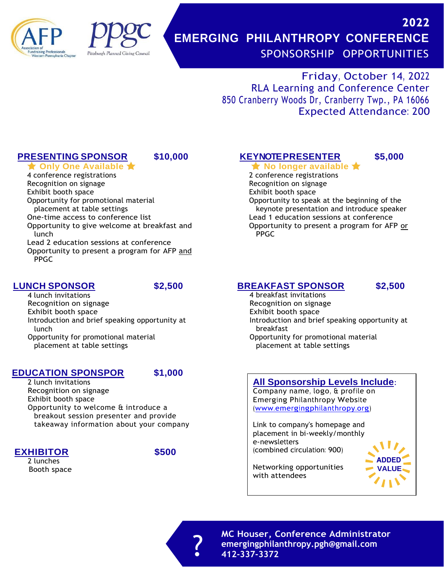



# **2022 EMERGING PHILANTHROPY CONFERENCE** SPONSORSHIP OPPORTUNITIES

Friday, October 14, 2022 RLA Learning and Conference Center 850 Cranberry Woods Dr, Cranberry Twp., PA 16066 Expected Attendance: 200

## **PRESENTING SPONSOR \$10,000 KEYNOTEPRESENTER \$5,000**

**★ Only One Available ★** ★ No longer available ★ 4 conference registrations Recognition on signage Exhibit booth space Opportunity for promotional material placement at table settings One-time access to conference list Opportunity to give welcome at breakfast and lunch Lead 2 education sessions at conference Opportunity to present a program for AFP and PPGC

## **LUNCH SPONSOR \$2,500**

4 lunch invitations Recognition on signage Exhibit booth space Introduction and brief speaking opportunity at lunch Opportunity for promotional material placement at table settings

## **EDUCATION SPONSPOR \$1,000**

2 lunch invitations Recognition on signage Exhibit booth space Opportunity to welcome & introduce a breakout session presenter and provide takeaway information about your company

## **EXHIBITOR \$500**

2 lunches



# 2 conference registrations

Recognition on signage

Exhibit booth space

Opportunity to speak at the beginning of the keynote presentation and introduce speaker Lead 1 education sessions at conference Opportunity to present a program for AFP or PPGC

## **BREAKFAST SPONSOR \$2,500**

4 breakfast invitations Recognition on signage Exhibit booth space Introduction and brief speaking opportunity at breakfast Opportunity for promotional material

placement at table settings

## **All Sponsorship Levels Include**:

Company name, logo, & profile on Emerging Philanthropy Website [\(www.emergingphilanthropy.org\)](http://www.emergingphilanthropy.org/)

Link to company's homepage and placement in bi-weekly/monthly e-newsletters (combined circulation: 900)



Networking opportunities Booth space **VALUE** with attendees

> **MC Houser, Conference Administrator emergingphilanthropy.pgh@gmail.com** ? **412-337-3372**